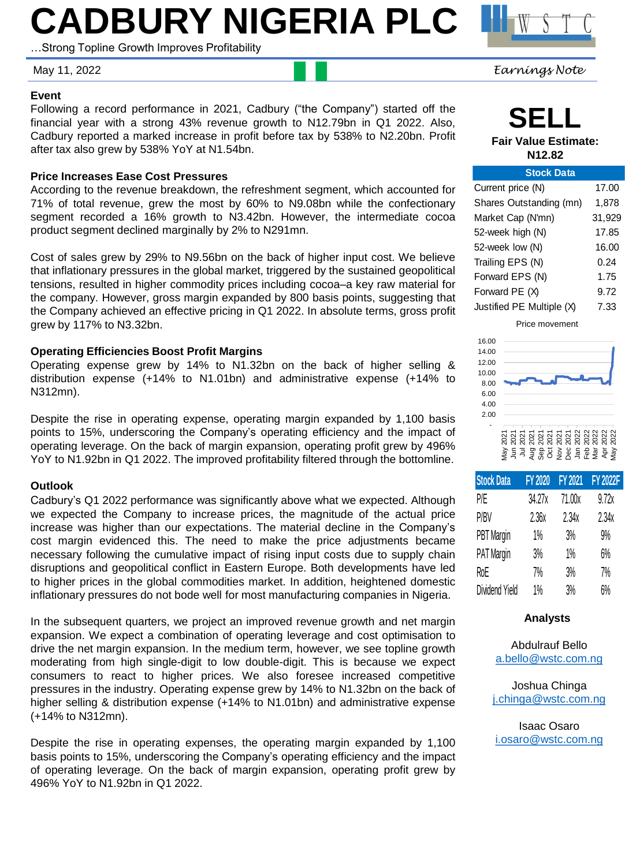# **CADBURY NIGERIA PLC**

…Strong Topline Growth Improves Profitability

May 11, 2022 *Earnings Note*

### **Event**

Following a record performance in 2021, Cadbury ("the Company") started off the financial year with a strong 43% revenue growth to N12.79bn in Q1 2022. Also, Cadbury reported a marked increase in profit before tax by 538% to N2.20bn. Profit after tax also grew by 538% YoY at N1.54bn.

### **Price Increases Ease Cost Pressures**

According to the revenue breakdown, the refreshment segment, which accounted for 71% of total revenue, grew the most by 60% to N9.08bn while the confectionary segment recorded a 16% growth to N3.42bn. However, the intermediate cocoa product segment declined marginally by 2% to N291mn.

Cost of sales grew by 29% to N9.56bn on the back of higher input cost. We believe that inflationary pressures in the global market, triggered by the sustained geopolitical tensions, resulted in higher commodity prices including cocoa–a key raw material for the company. However, gross margin expanded by 800 basis points, suggesting that the Company achieved an effective pricing in Q1 2022. In absolute terms, gross profit grew by 117% to N3.32bn.

### **Operating Efficiencies Boost Profit Margins**

Operating expense grew by 14% to N1.32bn on the back of higher selling & distribution expense (+14% to N1.01bn) and administrative expense (+14% to N312mn).

Despite the rise in operating expense, operating margin expanded by 1,100 basis points to 15%, underscoring the Company's operating efficiency and the impact of operating leverage. On the back of margin expansion, operating profit grew by 496% YoY to N1.92bn in Q1 2022. The improved profitability filtered through the bottomline.

### **Outlook**

Cadbury's Q1 2022 performance was significantly above what we expected. Although we expected the Company to increase prices, the magnitude of the actual price increase was higher than our expectations. The material decline in the Company's cost margin evidenced this. The need to make the price adjustments became necessary following the cumulative impact of rising input costs due to supply chain disruptions and geopolitical conflict in Eastern Europe. Both developments have led to higher prices in the global commodities market. In addition, heightened domestic inflationary pressures do not bode well for most manufacturing companies in Nigeria.

In the subsequent quarters, we project an improved revenue growth and net margin expansion. We expect a combination of operating leverage and cost optimisation to drive the net margin expansion. In the medium term, however, we see topline growth moderating from high single-digit to low double-digit. This is because we expect consumers to react to higher prices. We also foresee increased competitive pressures in the industry. Operating expense grew by 14% to N1.32bn on the back of higher selling & distribution expense (+14% to N1.01bn) and administrative expense (+14% to N312mn).

Despite the rise in operating expenses, the operating margin expanded by 1,100 basis points to 15%, underscoring the Company's operating efficiency and the impact of operating leverage. On the back of margin expansion, operating profit grew by 496% YoY to N1.92bn in Q1 2022.

**SELL Fair Value Estimate:** 

**N12.82**

| <b>Stock Data</b>         |        |
|---------------------------|--------|
| Current price (N)         | 17.00  |
| Shares Outstanding (mn)   | 1,878  |
| Market Cap (N'mn)         | 31,929 |
| 52-week high (N)          | 17.85  |
| 52-week low (N)           | 16.00  |
| Trailing EPS (N)          | 0.24   |
| Forward EPS (N)           | 1.75   |
| Forward PE (X)            | 9.72   |
| Justified PE Multiple (X) | 7.33   |

Price movement



| <b>Stock Data</b> | <b>FY 2020</b> | <b>FY 2021</b> | <b>FY 2022F</b> |
|-------------------|----------------|----------------|-----------------|
| P/E               | 34.27x         | 71.00x         | 9.72x           |
| P/BV              | 2.36x          | 2.34x          | 2.34x           |
| <b>PBT</b> Margin | 1%             | 3%             | 9%              |
| PAT Margin        | 3%             | 1%             | 6%              |
| RoE               | 7%             | 3%             | 7%              |
| Dividend Yield    | 1%             | 3%             | 6%              |

#### **Analysts**

Abdulrauf Bello [a.bello@wstc.com.ng](mailto:a.bello@wstc.com.ng)

Joshua Chinga [j.chinga@wstc.com.ng](mailto:j.chinga@wstc.com.ng)

Isaac Osaro [i.osaro@wstc.com.ng](mailto:j.chinga@wstc.com.ng)

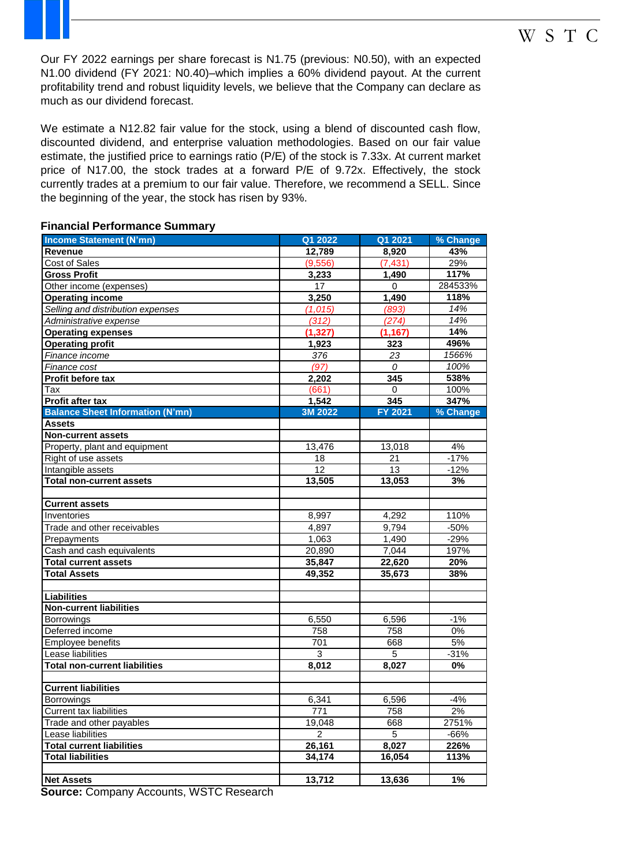Our FY 2022 earnings per share forecast is N1.75 (previous: N0.50), with an expected N1.00 dividend (FY 2021: N0.40)–which implies a 60% dividend payout. At the current profitability trend and robust liquidity levels, we believe that the Company can declare as much as our dividend forecast.

We estimate a N12.82 fair value for the stock, using a blend of discounted cash flow, discounted dividend, and enterprise valuation methodologies. Based on our fair value estimate, the justified price to earnings ratio (P/E) of the stock is 7.33x. At current market price of N17.00, the stock trades at a forward P/E of 9.72x. Effectively, the stock currently trades at a premium to our fair value. Therefore, we recommend a SELL. Since the beginning of the year, the stock has risen by 93%.

| <b>Financial Performance Summary</b> |  |
|--------------------------------------|--|
|--------------------------------------|--|

| <b>Income Statement (N'mn)</b>          | Q1 2022        | Q1 2021  | % Change |
|-----------------------------------------|----------------|----------|----------|
| <b>Revenue</b>                          | 12,789         | 8,920    | 43%      |
| <b>Cost of Sales</b>                    | (9,556)        | (7, 431) | 29%      |
| <b>Gross Profit</b>                     | 3,233          | 1.490    | 117%     |
| Other income (expenses)                 | 17             | 0        | 284533%  |
| <b>Operating income</b>                 | 3,250          | 1,490    | 118%     |
| Selling and distribution expenses       | (1, 015)       | (893)    | 14%      |
| Administrative expense                  | (312)          | (274)    | 14%      |
| <b>Operating expenses</b>               | (1, 327)       | (1, 167) | 14%      |
| <b>Operating profit</b>                 | 1,923          | 323      | 496%     |
| Finance income                          | 376            | 23       | 1566%    |
| Finance cost                            | (97)           | 0        | 100%     |
| Profit before tax                       | 2,202          | 345      | 538%     |
| Tax                                     | (661)          | 0        | 100%     |
| Profit after tax                        | 1,542          | 345      | 347%     |
| <b>Balance Sheet Information (N'mn)</b> | 3M 2022        | FY 2021  | % Change |
| <b>Assets</b>                           |                |          |          |
| <b>Non-current assets</b>               |                |          |          |
| Property, plant and equipment           | 13,476         | 13,018   | 4%       |
| Right of use assets                     | 18             | 21       | $-17%$   |
| Intangible assets                       | 12             | 13       | $-12%$   |
| <b>Total non-current assets</b>         | 13,505         | 13,053   | 3%       |
|                                         |                |          |          |
| <b>Current assets</b>                   |                |          |          |
| Inventories                             | 8,997          | 4,292    | 110%     |
| Trade and other receivables             | 4,897          | 9,794    | $-50%$   |
| Prepayments                             | 1,063          | 1,490    | $-29%$   |
| Cash and cash equivalents               | 20,890         | 7,044    | 197%     |
| <b>Total current assets</b>             | 35,847         | 22,620   | 20%      |
| <b>Total Assets</b>                     | 49,352         | 35,673   | 38%      |
|                                         |                |          |          |
| <b>Liabilities</b>                      |                |          |          |
| <b>Non-current liabilities</b>          |                |          |          |
| <b>Borrowings</b>                       | 6,550          | 6,596    | $-1%$    |
| Deferred income                         | 758            | 758      | 0%       |
| Employee benefits                       | 701            | 668      | 5%       |
| Lease liabilities                       | $\overline{3}$ | 5        | $-31%$   |
| <b>Total non-current liabilities</b>    | 8,012          | 8,027    | 0%       |
|                                         |                |          |          |
| <b>Current liabilities</b>              |                |          |          |
| Borrowings                              | 6,341          | 6,596    | $-4%$    |
| <b>Current tax liabilities</b>          | 771            | 758      | 2%       |
| Trade and other payables                | 19,048         | 668      | 2751%    |
| Lease liabilities                       | $\overline{2}$ | 5        | $-66%$   |
| <b>Total current liabilities</b>        | 26,161         | 8,027    | 226%     |
| <b>Total liabilities</b>                | 34,174         | 16,054   | 113%     |
|                                         |                |          |          |
| <b>Net Assets</b>                       | 13,712         | 13,636   | 1%       |

**Source:** Company Accounts, WSTC Research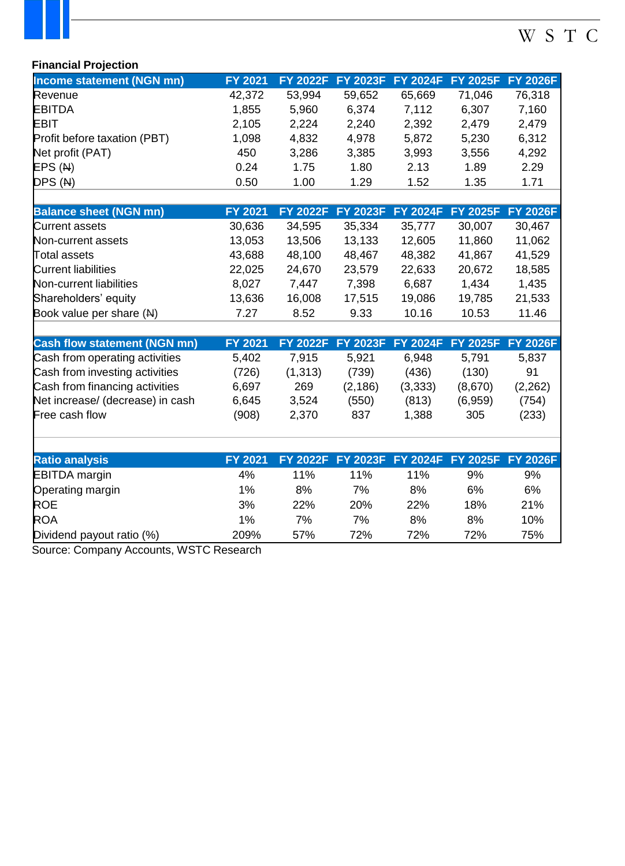# W S T C

### **Financial Projection**

| Income statement (NGN mn)    | <b>FY 2021</b> |        | FY 2022F FY 2023F FY 2024F FY 2025F FY 2026F |        |        |        |
|------------------------------|----------------|--------|----------------------------------------------|--------|--------|--------|
| Revenue                      | 42,372         | 53,994 | 59,652                                       | 65,669 | 71,046 | 76,318 |
| <b>EBITDA</b>                | 1,855          | 5,960  | 6,374                                        | 7,112  | 6,307  | 7,160  |
| <b>EBIT</b>                  | 2,105          | 2,224  | 2,240                                        | 2,392  | 2,479  | 2,479  |
| Profit before taxation (PBT) | 1,098          | 4,832  | 4,978                                        | 5,872  | 5,230  | 6,312  |
| Net profit (PAT)             | 450            | 3,286  | 3,385                                        | 3,993  | 3,556  | 4,292  |
| EPS(M)                       | 0.24           | 1.75   | 1.80                                         | 2.13   | 1.89   | 2.29   |
| DPS(M)                       | 0.50           | 1.00   | 1.29                                         | 1.52   | 1.35   | 1.71   |
|                              |                |        |                                              |        |        |        |

| <b>Balance sheet (NGN mn)</b> | FY 2021 |        | FY 2022F FY 2023F FY 2024F FY 2025F FY 2026F |        |        |        |
|-------------------------------|---------|--------|----------------------------------------------|--------|--------|--------|
| Current assets                | 30,636  | 34,595 | 35,334                                       | 35,777 | 30,007 | 30,467 |
| Non-current assets            | 13,053  | 13,506 | 13,133                                       | 12,605 | 11,860 | 11,062 |
| Total assets                  | 43,688  | 48,100 | 48,467                                       | 48,382 | 41,867 | 41,529 |
| <b>Current liabilities</b>    | 22,025  | 24,670 | 23,579                                       | 22,633 | 20,672 | 18,585 |
| Non-current liabilities       | 8,027   | 7,447  | 7,398                                        | 6,687  | 1,434  | 1,435  |
| Shareholders' equity          | 13,636  | 16,008 | 17,515                                       | 19,086 | 19,785 | 21,533 |
| Book value per share (N)      | 7.27    | 8.52   | 9.33                                         | 10.16  | 10.53  | 11.46  |
|                               |         |        |                                              |        |        |        |

| <b>Cash flow statement (NGN mn)</b> | <b>FY 2021</b> |          | FY 2022F FY 2023F FY 2024F FY 2025F FY 2026F |         |         |         |
|-------------------------------------|----------------|----------|----------------------------------------------|---------|---------|---------|
| Cash from operating activities      | 5,402          | 7.915    | 5.921                                        | 6.948   | 5.791   | 5,837   |
| Cash from investing activities      | (726)          | (1, 313) | (739)                                        | (436)   | (130)   | .91     |
| Cash from financing activities      | 6,697          | 269      | (2, 186)                                     | (3,333) | (8,670) | (2,262) |
| Net increase/ (decrease) in cash    | 6,645          | 3,524    | (550)                                        | (813)   | (6,959) | (754)   |
| Free cash flow                      | (908)          | 2,370    | 837                                          | 1,388   | 305     | (233)   |

| <b>Ratio analysis</b>     | <b>FY 2021</b> |            |            | FY 2022F FY 2023F FY 2024F FY 2025F FY 2026F |     |     |
|---------------------------|----------------|------------|------------|----------------------------------------------|-----|-----|
| <b>EBITDA</b> margin      | 4%             | 11%        | 11%        | 11%                                          | 9%  | 9%  |
| <b>Operating margin</b>   | $1\%$          | 8%         | 7%         | 8%                                           | 6%  | 6%  |
| <b>ROE</b>                | 3%             | <b>22%</b> | <b>20%</b> | 22%                                          | 18% | 21% |
| <b>ROA</b>                | $1\%$          | 7%         | 7%         | 8%                                           | 8%  | 10% |
| Dividend payout ratio (%) | 209%           | 57%        | 72%        | 72%                                          | 72% | 75% |

Source: Company Accounts, WSTC Research